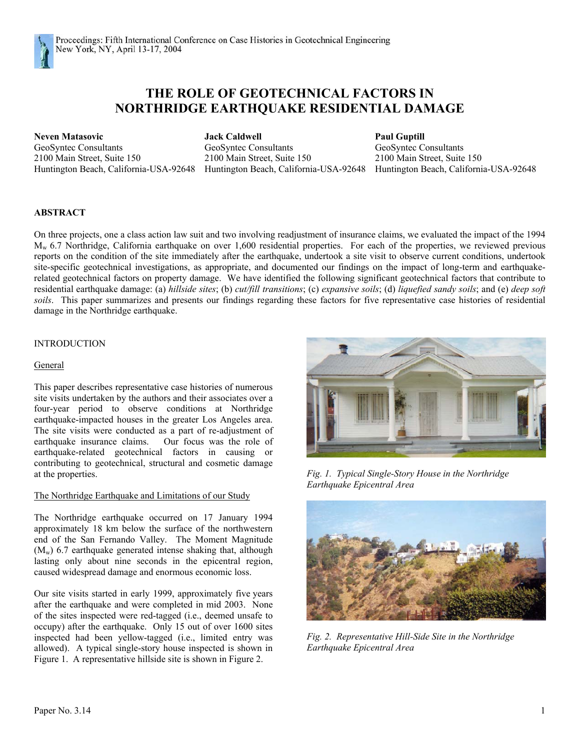

# **THE ROLE OF GEOTECHNICAL FACTORS IN NORTHRIDGE EARTHQUAKE RESIDENTIAL DAMAGE**

GeoSyntec Consultants GeoSyntec Consultants GeoSyntec Consultants 2100 Main Street, Suite 150 2100 Main Street, Suite 150 2100 Main Street, Suite 150

**Neven Matasovic Jack Caldwell Paul Guptill**

Huntington Beach, California-USA-92648 Huntington Beach, California-USA-92648 Huntington Beach, California-USA-92648

# **ABSTRACT**

On three projects, one a class action law suit and two involving readjustment of insurance claims, we evaluated the impact of the 1994 Mw 6.7 Northridge, California earthquake on over 1,600 residential properties. For each of the properties, we reviewed previous reports on the condition of the site immediately after the earthquake, undertook a site visit to observe current conditions, undertook site-specific geotechnical investigations, as appropriate, and documented our findings on the impact of long-term and earthquakerelated geotechnical factors on property damage. We have identified the following significant geotechnical factors that contribute to residential earthquake damage: (a) *hillside sites*; (b) *cut/fill transitions*; (c) *expansive soils*; (d) *liquefied sandy soils*; and (e) *deep soft soils*. This paper summarizes and presents our findings regarding these factors for five representative case histories of residential damage in the Northridge earthquake.

## INTRODUCTION

## General

This paper describes representative case histories of numerous site visits undertaken by the authors and their associates over a four-year period to observe conditions at Northridge earthquake-impacted houses in the greater Los Angeles area. The site visits were conducted as a part of re-adjustment of earthquake insurance claims. Our focus was the role of earthquake-related geotechnical factors in causing or contributing to geotechnical, structural and cosmetic damage at the properties. *Fig. 1. Typical Single-Story House in the Northridge*

## The Northridge Earthquake and Limitations of our Study

The Northridge earthquake occurred on 17 January 1994 approximately 18 km below the surface of the northwestern end of the San Fernando Valley. The Moment Magnitude  $(M_w)$  6.7 earthquake generated intense shaking that, although lasting only about nine seconds in the epicentral region, caused widespread damage and enormous economic loss.

Our site visits started in early 1999, approximately five years after the earthquake and were completed in mid 2003. None of the sites inspected were red-tagged (i.e., deemed unsafe to occupy) after the earthquake. Only 15 out of over 1600 sites inspected had been yellow-tagged (i.e., limited entry was allowed). A typical single-story house inspected is shown in Figure 1. A representative hillside site is shown in Figure 2.



*Earthquake Epicentral Area*



*Fig. 2. Representative Hill-Side Site in the Northridge Earthquake Epicentral Area*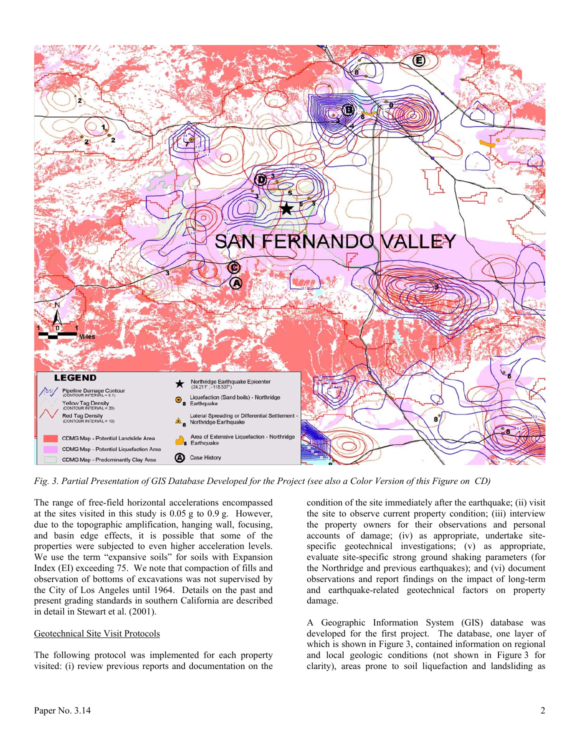

*Fig. 3. Partial Presentation of GIS Database Developed for the Project (see also a Color Version of this Figure on CD)* 

The range of free-field horizontal accelerations encompassed at the sites visited in this study is 0.05 g to 0.9 g. However, due to the topographic amplification, hanging wall, focusing, and basin edge effects, it is possible that some of the properties were subjected to even higher acceleration levels. We use the term "expansive soils" for soils with Expansion Index (EI) exceeding 75. We note that compaction of fills and observation of bottoms of excavations was not supervised by the City of Los Angeles until 1964. Details on the past and present grading standards in southern California are described in detail in Stewart et al. (2001).

## Geotechnical Site Visit Protocols

The following protocol was implemented for each property visited: (i) review previous reports and documentation on the condition of the site immediately after the earthquake; (ii) visit the site to observe current property condition; (iii) interview the property owners for their observations and personal accounts of damage; (iv) as appropriate, undertake sitespecific geotechnical investigations; (v) as appropriate, evaluate site-specific strong ground shaking parameters (for the Northridge and previous earthquakes); and (vi) document observations and report findings on the impact of long-term and earthquake-related geotechnical factors on property damage.

A Geographic Information System (GIS) database was developed for the first project. The database, one layer of which is shown in Figure 3, contained information on regional and local geologic conditions (not shown in Figure 3 for clarity), areas prone to soil liquefaction and landsliding as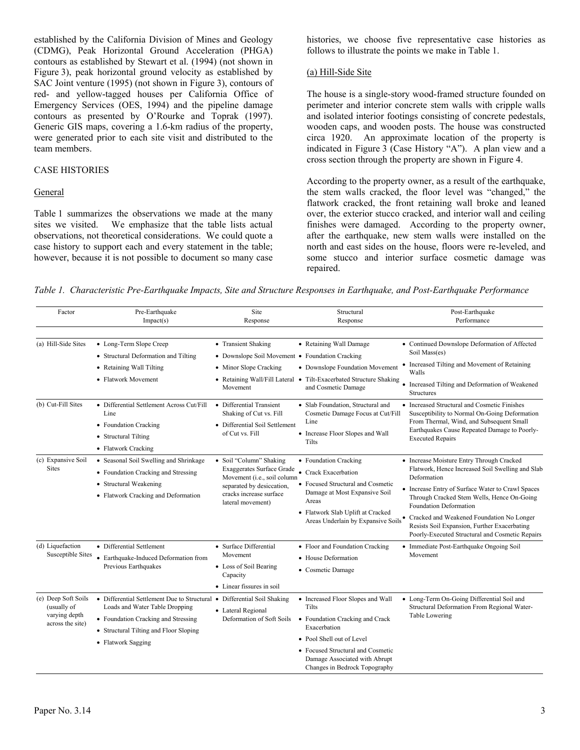established by the California Division of Mines and Geology (CDMG), Peak Horizontal Ground Acceleration (PHGA) contours as established by Stewart et al. (1994) (not shown in Figure 3), peak horizontal ground velocity as established by SAC Joint venture (1995) (not shown in Figure 3), contours of red- and yellow-tagged houses per California Office of Emergency Services (OES, 1994) and the pipeline damage contours as presented by O'Rourke and Toprak (1997). Generic GIS maps, covering a 1.6-km radius of the property, were generated prior to each site visit and distributed to the team members.

#### CASE HISTORIES

#### General

Table 1 summarizes the observations we made at the many sites we visited. We emphasize that the table lists actual observations, not theoretical considerations. We could quote a case history to support each and every statement in the table; however, because it is not possible to document so many case

histories, we choose five representative case histories as follows to illustrate the points we make in Table 1.

#### (a) Hill-Side Site

The house is a single-story wood-framed structure founded on perimeter and interior concrete stem walls with cripple walls and isolated interior footings consisting of concrete pedestals, wooden caps, and wooden posts. The house was constructed circa 1920. An approximate location of the property is indicated in Figure 3 (Case History "A"). A plan view and a cross section through the property are shown in Figure 4.

According to the property owner, as a result of the earthquake, the stem walls cracked, the floor level was "changed," the flatwork cracked, the front retaining wall broke and leaned over, the exterior stucco cracked, and interior wall and ceiling finishes were damaged. According to the property owner, after the earthquake, new stem walls were installed on the north and east sides on the house, floors were re-leveled, and some stucco and interior surface cosmetic damage was repaired.

*Table 1. Characteristic Pre-Earthquake Impacts, Site and Structure Responses in Earthquake, and Post-Earthquake Performance* 

| Factor                                                                  | Pre-Earthquake<br>Impack(s)                                                                                                                                                                                      | Site<br>Response                                                                                                                                                        | Structural<br>Response                                                                                                                                                                                                            | Post-Earthquake<br>Performance                                                                                                                                                                                                                                                                                                                                                                   |
|-------------------------------------------------------------------------|------------------------------------------------------------------------------------------------------------------------------------------------------------------------------------------------------------------|-------------------------------------------------------------------------------------------------------------------------------------------------------------------------|-----------------------------------------------------------------------------------------------------------------------------------------------------------------------------------------------------------------------------------|--------------------------------------------------------------------------------------------------------------------------------------------------------------------------------------------------------------------------------------------------------------------------------------------------------------------------------------------------------------------------------------------------|
| (a) Hill-Side Sites                                                     | • Long-Term Slope Creep<br>• Structural Deformation and Tilting<br>• Retaining Wall Tilting<br>• Flatwork Movement                                                                                               | • Transient Shaking<br>• Downslope Soil Movement • Foundation Cracking<br>• Minor Slope Cracking<br>Movement                                                            | • Retaining Wall Damage<br>• Downslope Foundation Movement<br>• Retaining Wall/Fill Lateral • Tilt-Exacerbated Structure Shaking<br>and Cosmetic Damage                                                                           | • Continued Downslope Deformation of Affected<br>Soil Mass(es)<br>Increased Tilting and Movement of Retaining<br>٠<br>Walls<br>• Increased Tilting and Deformation of Weakened<br>Structures                                                                                                                                                                                                     |
| (b) Cut-Fill Sites                                                      | • Differential Settlement Across Cut/Fill<br>Line<br>• Foundation Cracking<br>• Structural Tilting<br>• Flatwork Cracking                                                                                        | • Differential Transient<br>Shaking of Cut vs. Fill<br>• Differential Soil Settlement<br>of Cut vs. Fill                                                                | • Slab Foundation, Structural and<br>Cosmetic Damage Focus at Cut/Fill<br>Line<br>• Increase Floor Slopes and Wall<br>Tilts                                                                                                       | • Increased Structural and Cosmetic Finishes<br>Susceptibility to Normal On-Going Deformation<br>From Thermal, Wind, and Subsequent Small<br>Earthquakes Cause Repeated Damage to Poorly-<br><b>Executed Repairs</b>                                                                                                                                                                             |
| (c) Expansive Soil<br><b>Sites</b>                                      | • Seasonal Soil Swelling and Shrinkage<br>• Foundation Cracking and Stressing<br>• Structural Weakening<br>• Flatwork Cracking and Deformation                                                                   | • Soil "Column" Shaking<br><b>Exaggerates Surface Grade</b><br>Movement (i.e., soil column<br>separated by desiccation,<br>cracks increase surface<br>lateral movement) | • Foundation Cracking<br>• Crack Exacerbation<br>• Focused Structural and Cosmetic<br>Damage at Most Expansive Soil<br>Areas<br>• Flatwork Slab Uplift at Cracked<br>Areas Underlain by Expansive Soils $^\bullet$                | • Increase Moisture Entry Through Cracked<br>Flatwork, Hence Increased Soil Swelling and Slab<br>Deformation<br>• Increase Entry of Surface Water to Crawl Spaces<br>Through Cracked Stem Wells, Hence On-Going<br><b>Foundation Deformation</b><br>Cracked and Weakened Foundation No Longer<br>Resists Soil Expansion, Further Exacerbating<br>Poorly-Executed Structural and Cosmetic Repairs |
| (d) Liquefaction<br><b>Susceptible Sites</b>                            | • Differential Settlement<br>• Earthquake-Induced Deformation from<br>Previous Earthquakes                                                                                                                       | • Surface Differential<br>Movement<br>• Loss of Soil Bearing<br>Capacity<br>• Linear fissures in soil                                                                   | • Floor and Foundation Cracking<br>• House Deformation<br>• Cosmetic Damage                                                                                                                                                       | • Immediate Post-Earthquake Ongoing Soil<br>Movement                                                                                                                                                                                                                                                                                                                                             |
| (e) Deep Soft Soils<br>(usually of<br>varying depth<br>across the site) | • Differential Settlement Due to Structural • Differential Soil Shaking<br>Loads and Water Table Dropping<br>• Foundation Cracking and Stressing<br>• Structural Tilting and Floor Sloping<br>• Flatwork Sagging | • Lateral Regional<br>Deformation of Soft Soils                                                                                                                         | • Increased Floor Slopes and Wall<br>Tilts<br>• Foundation Cracking and Crack<br>Exacerbation<br>• Pool Shell out of Level<br>• Focused Structural and Cosmetic<br>Damage Associated with Abrupt<br>Changes in Bedrock Topography | • Long-Term On-Going Differential Soil and<br>Structural Deformation From Regional Water-<br>Table Lowering                                                                                                                                                                                                                                                                                      |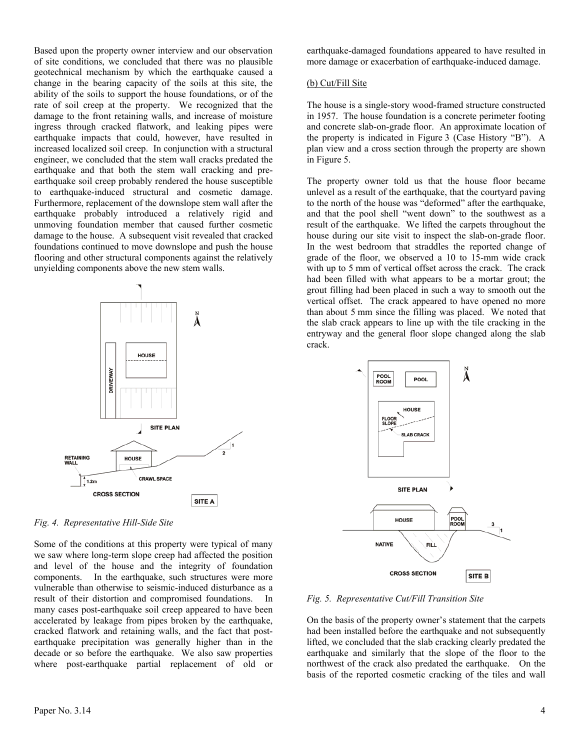Based upon the property owner interview and our observation of site conditions, we concluded that there was no plausible geotechnical mechanism by which the earthquake caused a change in the bearing capacity of the soils at this site, the ability of the soils to support the house foundations, or of the rate of soil creep at the property. We recognized that the damage to the front retaining walls, and increase of moisture ingress through cracked flatwork, and leaking pipes were earthquake impacts that could, however, have resulted in increased localized soil creep. In conjunction with a structural engineer, we concluded that the stem wall cracks predated the earthquake and that both the stem wall cracking and preearthquake soil creep probably rendered the house susceptible to earthquake-induced structural and cosmetic damage. Furthermore, replacement of the downslope stem wall after the earthquake probably introduced a relatively rigid and unmoving foundation member that caused further cosmetic damage to the house. A subsequent visit revealed that cracked foundations continued to move downslope and push the house flooring and other structural components against the relatively unyielding components above the new stem walls.



*Fig. 4. Representative Hill-Side Site* 

Some of the conditions at this property were typical of many we saw where long-term slope creep had affected the position and level of the house and the integrity of foundation components. In the earthquake, such structures were more vulnerable than otherwise to seismic-induced disturbance as a result of their distortion and compromised foundations. In many cases post-earthquake soil creep appeared to have been accelerated by leakage from pipes broken by the earthquake, cracked flatwork and retaining walls, and the fact that postearthquake precipitation was generally higher than in the decade or so before the earthquake. We also saw properties where post-earthquake partial replacement of old or earthquake-damaged foundations appeared to have resulted in more damage or exacerbation of earthquake-induced damage.

# (b) Cut/Fill Site

The house is a single-story wood-framed structure constructed in 1957. The house foundation is a concrete perimeter footing and concrete slab-on-grade floor. An approximate location of the property is indicated in Figure 3 (Case History "B"). A plan view and a cross section through the property are shown in Figure 5.

The property owner told us that the house floor became unlevel as a result of the earthquake, that the courtyard paving to the north of the house was "deformed" after the earthquake, and that the pool shell "went down" to the southwest as a result of the earthquake. We lifted the carpets throughout the house during our site visit to inspect the slab-on-grade floor. In the west bedroom that straddles the reported change of grade of the floor, we observed a 10 to 15-mm wide crack with up to 5 mm of vertical offset across the crack. The crack had been filled with what appears to be a mortar grout; the grout filling had been placed in such a way to smooth out the vertical offset. The crack appeared to have opened no more than about 5 mm since the filling was placed. We noted that the slab crack appears to line up with the tile cracking in the entryway and the general floor slope changed along the slab crack.



*Fig. 5. Representative Cut/Fill Transition Site* 

On the basis of the property owner's statement that the carpets had been installed before the earthquake and not subsequently lifted, we concluded that the slab cracking clearly predated the earthquake and similarly that the slope of the floor to the northwest of the crack also predated the earthquake. On the basis of the reported cosmetic cracking of the tiles and wall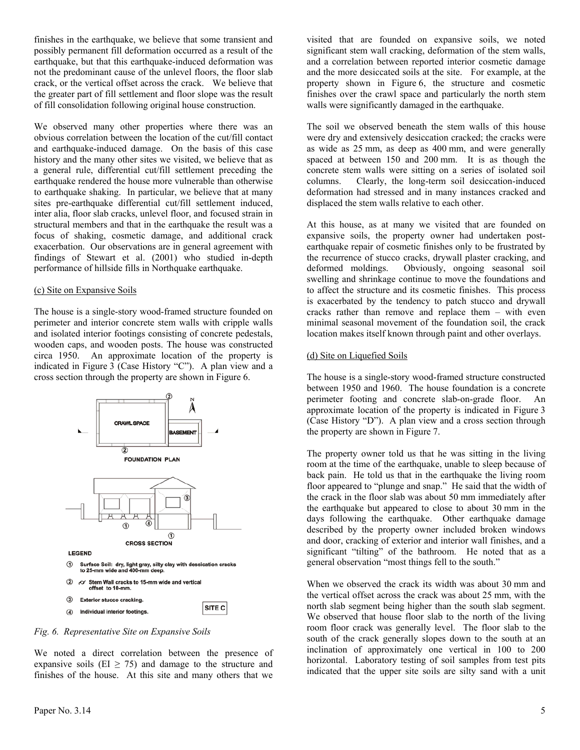finishes in the earthquake, we believe that some transient and possibly permanent fill deformation occurred as a result of the earthquake, but that this earthquake-induced deformation was not the predominant cause of the unlevel floors, the floor slab crack, or the vertical offset across the crack. We believe that the greater part of fill settlement and floor slope was the result of fill consolidation following original house construction.

We observed many other properties where there was an obvious correlation between the location of the cut/fill contact and earthquake-induced damage. On the basis of this case history and the many other sites we visited, we believe that as a general rule, differential cut/fill settlement preceding the earthquake rendered the house more vulnerable than otherwise to earthquake shaking. In particular, we believe that at many sites pre-earthquake differential cut/fill settlement induced, inter alia, floor slab cracks, unlevel floor, and focused strain in structural members and that in the earthquake the result was a focus of shaking, cosmetic damage, and additional crack exacerbation. Our observations are in general agreement with findings of Stewart et al. (2001) who studied in-depth performance of hillside fills in Northquake earthquake.

#### (c) Site on Expansive Soils

The house is a single-story wood-framed structure founded on perimeter and interior concrete stem walls with cripple walls and isolated interior footings consisting of concrete pedestals, wooden caps, and wooden posts. The house was constructed circa 1950. An approximate location of the property is indicated in Figure 3 (Case History "C"). A plan view and a cross section through the property are shown in Figure 6.



*Fig. 6. Representative Site on Expansive Soils* 

We noted a direct correlation between the presence of expansive soils (EI  $\geq$  75) and damage to the structure and finishes of the house. At this site and many others that we

visited that are founded on expansive soils, we noted significant stem wall cracking, deformation of the stem walls, and a correlation between reported interior cosmetic damage and the more desiccated soils at the site. For example, at the property shown in Figure 6, the structure and cosmetic finishes over the crawl space and particularly the north stem walls were significantly damaged in the earthquake.

The soil we observed beneath the stem walls of this house were dry and extensively desiccation cracked; the cracks were as wide as 25 mm, as deep as 400 mm, and were generally spaced at between 150 and 200 mm. It is as though the concrete stem walls were sitting on a series of isolated soil columns. Clearly, the long-term soil desiccation-induced deformation had stressed and in many instances cracked and displaced the stem walls relative to each other.

At this house, as at many we visited that are founded on expansive soils, the property owner had undertaken postearthquake repair of cosmetic finishes only to be frustrated by the recurrence of stucco cracks, drywall plaster cracking, and deformed moldings. Obviously, ongoing seasonal soil swelling and shrinkage continue to move the foundations and to affect the structure and its cosmetic finishes. This process is exacerbated by the tendency to patch stucco and drywall cracks rather than remove and replace them – with even minimal seasonal movement of the foundation soil, the crack location makes itself known through paint and other overlays.

## (d) Site on Liquefied Soils

The house is a single-story wood-framed structure constructed between 1950 and 1960. The house foundation is a concrete perimeter footing and concrete slab-on-grade floor. An approximate location of the property is indicated in Figure 3 (Case History "D"). A plan view and a cross section through the property are shown in Figure 7.

The property owner told us that he was sitting in the living room at the time of the earthquake, unable to sleep because of back pain. He told us that in the earthquake the living room floor appeared to "plunge and snap." He said that the width of the crack in the floor slab was about 50 mm immediately after the earthquake but appeared to close to about 30 mm in the days following the earthquake. Other earthquake damage described by the property owner included broken windows and door, cracking of exterior and interior wall finishes, and a significant "tilting" of the bathroom. He noted that as a general observation "most things fell to the south."

When we observed the crack its width was about 30 mm and the vertical offset across the crack was about 25 mm, with the north slab segment being higher than the south slab segment. We observed that house floor slab to the north of the living room floor crack was generally level. The floor slab to the south of the crack generally slopes down to the south at an inclination of approximately one vertical in 100 to 200 horizontal. Laboratory testing of soil samples from test pits indicated that the upper site soils are silty sand with a unit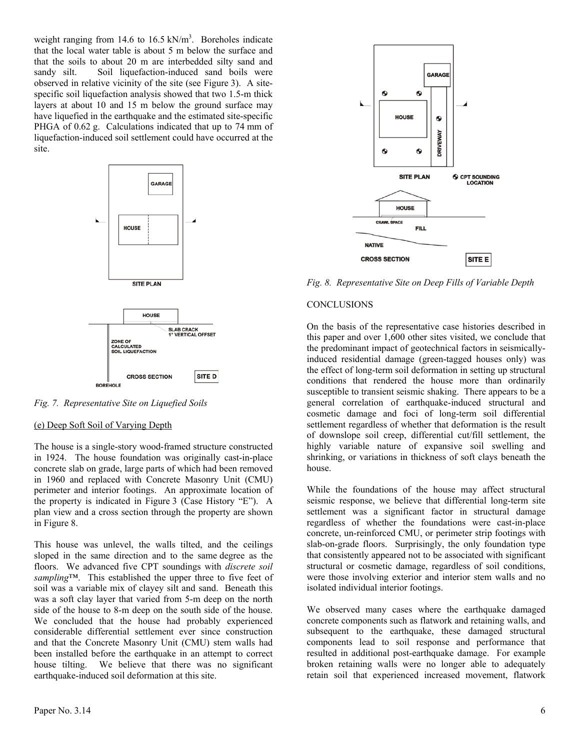weight ranging from 14.6 to  $16.5 \text{ kN/m}^3$ . Boreholes indicate that the local water table is about 5 m below the surface and that the soils to about 20 m are interbedded silty sand and sandy silt. Soil liquefaction-induced sand boils were observed in relative vicinity of the site (see Figure 3). A sitespecific soil liquefaction analysis showed that two 1.5-m thick layers at about 10 and 15 m below the ground surface may have liquefied in the earthquake and the estimated site-specific PHGA of 0.62 g. Calculations indicated that up to 74 mm of liquefaction-induced soil settlement could have occurred at the site.



*Fig. 7. Representative Site on Liquefied Soils* 

## (e) Deep Soft Soil of Varying Depth

The house is a single-story wood-framed structure constructed in 1924. The house foundation was originally cast-in-place concrete slab on grade, large parts of which had been removed in 1960 and replaced with Concrete Masonry Unit (CMU) perimeter and interior footings. An approximate location of the property is indicated in Figure 3 (Case History "E"). A plan view and a cross section through the property are shown in Figure 8.

This house was unlevel, the walls tilted, and the ceilings sloped in the same direction and to the same degree as the floors. We advanced five CPT soundings with *discrete soil sampling*™. This established the upper three to five feet of soil was a variable mix of clayey silt and sand. Beneath this was a soft clay layer that varied from 5-m deep on the north side of the house to 8-m deep on the south side of the house. We concluded that the house had probably experienced considerable differential settlement ever since construction and that the Concrete Masonry Unit (CMU) stem walls had been installed before the earthquake in an attempt to correct house tilting. We believe that there was no significant earthquake-induced soil deformation at this site.



*Fig. 8. Representative Site on Deep Fills of Variable Depth*

# **CONCLUSIONS**

On the basis of the representative case histories described in this paper and over 1,600 other sites visited, we conclude that the predominant impact of geotechnical factors in seismicallyinduced residential damage (green-tagged houses only) was the effect of long-term soil deformation in setting up structural conditions that rendered the house more than ordinarily susceptible to transient seismic shaking. There appears to be a general correlation of earthquake-induced structural and cosmetic damage and foci of long-term soil differential settlement regardless of whether that deformation is the result of downslope soil creep, differential cut/fill settlement, the highly variable nature of expansive soil swelling and shrinking, or variations in thickness of soft clays beneath the house.

While the foundations of the house may affect structural seismic response, we believe that differential long-term site settlement was a significant factor in structural damage regardless of whether the foundations were cast-in-place concrete, un-reinforced CMU, or perimeter strip footings with slab-on-grade floors. Surprisingly, the only foundation type that consistently appeared not to be associated with significant structural or cosmetic damage, regardless of soil conditions, were those involving exterior and interior stem walls and no isolated individual interior footings.

We observed many cases where the earthquake damaged concrete components such as flatwork and retaining walls, and subsequent to the earthquake, these damaged structural components lead to soil response and performance that resulted in additional post-earthquake damage. For example broken retaining walls were no longer able to adequately retain soil that experienced increased movement, flatwork